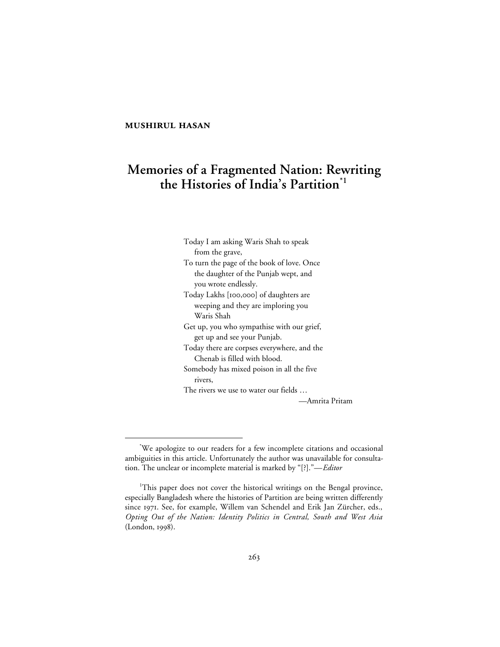# **MUSHIRUL HASAN**

# **Memories of a Fragmented Nation: Rewriting the Histories of India's Partition\*1**

Today I am asking Waris Shah to speak from the grave, To turn the page of the book of love. Once the daughter of the Punjab wept, and you wrote endlessly. Today Lakhs [100,000] of daughters are weeping and they are imploring you Waris Shah Get up, you who sympathise with our grief, get up and see your Punjab. Today there are corpses everywhere, and the Chenab is filled with blood. Somebody has mixed poison in all the five rivers, The rivers we use to water our fields … —Amrita Pritam

 <sup>\*</sup> We apologize to our readers for a few incomplete citations and occasional ambiguities in this article. Unfortunately the author was unavailable for consultation. The unclear or incomplete material is marked by "[?]."—*Editor*

<sup>&</sup>lt;sup>1</sup>This paper does not cover the historical writings on the Bengal province, especially Bangladesh where the histories of Partition are being written differently since 1971. See, for example, Willem van Schendel and Erik Jan Zürcher, eds., *Opting Out of the Nation: Identity Politics in Central, South and West Asia* (London, 1998).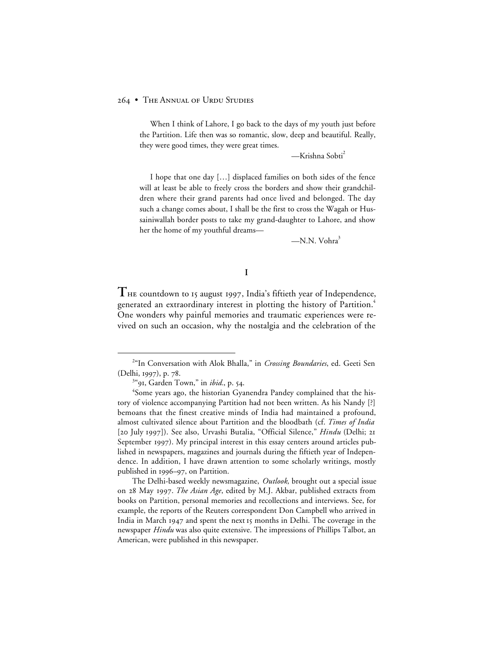When I think of Lahore, I go back to the days of my youth just before the Partition. Life then was so romantic, slow, deep and beautiful. Really, they were good times, they were great times.

—Krishna Sobti2

I hope that one day […] displaced families on both sides of the fence will at least be able to freely cross the borders and show their grandchildren where their grand parents had once lived and belonged. The day such a change comes about, I shall be the first to cross the Wagah or Hussainiwallah border posts to take my grand-daughter to Lahore, and show her the home of my youthful dreams—

 $-N.N.$  Vohra $3$ 

# **I**

THE countdown to 15 august 1997, India's fiftieth year of Independence, generated an extraordinary interest in plotting the history of Partition.<sup>4</sup> One wonders why painful memories and traumatic experiences were revived on such an occasion, why the nostalgia and the celebration of the

The Delhi-based weekly newsmagazine, *Outlook*, brought out a special issue on 28 May 1997. *The Asian Age*, edited by M.J. Akbar, published extracts from books on Partition, personal memories and recollections and interviews. See, for example, the reports of the Reuters correspondent Don Campbell who arrived in India in March 1947 and spent the next I5 months in Delhi. The coverage in the newspaper *Hindu* was also quite extensive. The impressions of Phillips Talbot, an American, were published in this newspaper.

 $\overline{a}$ <sup>2"</sup>In Conversation with Alok Bhalla," in *Crossing Boundaries*, ed. Geeti Sen (Delhi, 1997), p. 78.

<sup>&</sup>lt;sup>3"</sup>91, Garden Town," in *ibid.*, p. 54.

<sup>4</sup> Some years ago, the historian Gyanendra Pandey complained that the history of violence accompanying Partition had not been written. As his Nandy [?] bemoans that the finest creative minds of India had maintained a profound, almost cultivated silence about Partition and the bloodbath (cf. *Times of India* [20 July 1997]). See also, Urvashi Butalia, "Official Silence," *Hindu* (Delhi; 21 September 1997). My principal interest in this essay centers around articles published in newspapers, magazines and journals during the fiftieth year of Independence. In addition, I have drawn attention to some scholarly writings, mostly published in 1996–97, on Partition.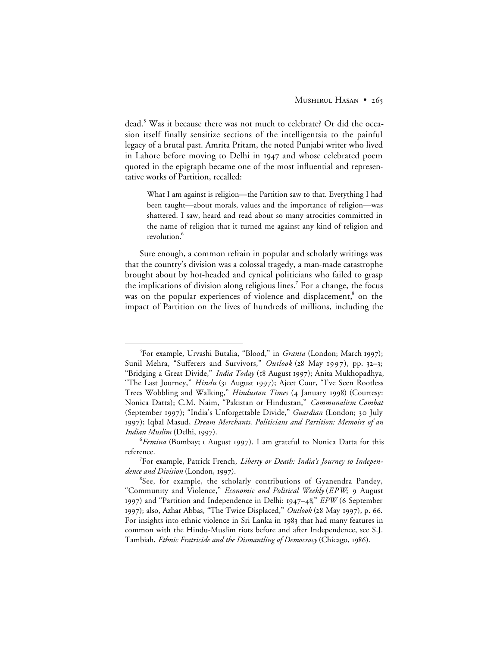dead.<sup>5</sup> Was it because there was not much to celebrate? Or did the occasion itself finally sensitize sections of the intelligentsia to the painful legacy of a brutal past. Amrita Pritam, the noted Punjabi writer who lived in Lahore before moving to Delhi in 1947 and whose celebrated poem quoted in the epigraph became one of the most influential and representative works of Partition, recalled:

What I am against is religion—the Partition saw to that. Everything I had been taught—about morals, values and the importance of religion—was shattered. I saw, heard and read about so many atrocities committed in the name of religion that it turned me against any kind of religion and revolution.<sup>6</sup>

Sure enough, a common refrain in popular and scholarly writings was that the country's division was a colossal tragedy, a man-made catastrophe brought about by hot-headed and cynical politicians who failed to grasp the implications of division along religious lines.<sup>7</sup> For a change, the focus was on the popular experiences of violence and displacement,<sup>8</sup> on the impact of Partition on the lives of hundreds of millions, including the

 $rac{1}{5}$ <sup>5</sup>For example, Urvashi Butalia, "Blood," in *Granta* (London; March 1997); Sunil Mehra, "Sufferers and Survivors," Outlook (28 May 1997), pp. 32-3; "Bridging a Great Divide," *India Today* (18 August 1997); Anita Mukhopadhya, "The Last Journey," *Hindu* (31 August 1997); Ajeet Cour, "I've Seen Rootless Trees Wobbling and Walking," *Hindustan Times* (4 January 1998) (Courtesy: Nonica Datta); C.M. Naim, "Pakistan or Hindustan," *Communalism Combat* (September 1997); "India's Unforgettable Divide," *Guardian* (London; 30 July ); Iqbal Masud, *Dream Merchants, Politicians and Partition: Memoirs of an Indian Muslim* (Delhi, 1997).

*<sup>&</sup>lt;sup>6</sup>Femina* (Bombay; 1 August 1997). I am grateful to Nonica Datta for this reference.

<sup>7</sup> For example, Patrick French, *Liberty or Death: India's Journey to Independence and Division* (London, 1997).

<sup>&</sup>lt;sup>8</sup>See, for example, the scholarly contributions of Gyanendra Pandey, "Community and Violence," *Economic and Political Weekly* (*EPW*; 9 August 1997) and "Partition and Independence in Delhi: 1947-48," *EPW* (6 September 1997); also, Azhar Abbas, "The Twice Displaced," *Outlook* (28 May 1997), p. 66. For insights into ethnic violence in Sri Lanka in 1983 that had many features in common with the Hindu-Muslim riots before and after Independence, see S.J. Tambiah, *Ethnic Fratricide and the Dismantling of Democracy* (Chicago, 1986).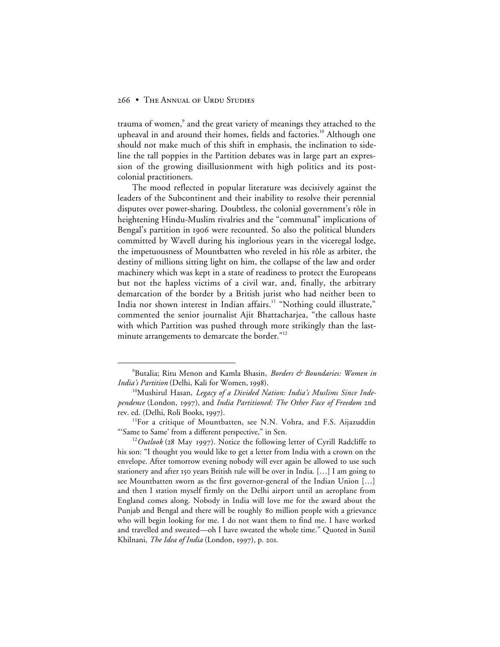trauma of women,<sup>9</sup> and the great variety of meanings they attached to the upheaval in and around their homes, fields and factories.<sup>10</sup> Although one should not make much of this shift in emphasis, the inclination to sideline the tall poppies in the Partition debates was in large part an expression of the growing disillusionment with high politics and its postcolonial practitioners.

The mood reflected in popular literature was decisively against the leaders of the Subcontinent and their inability to resolve their perennial disputes over power-sharing. Doubtless, the colonial government's rôle in heightening Hindu-Muslim rivalries and the "communal" implications of Bengal's partition in 1906 were recounted. So also the political blunders committed by Wavell during his inglorious years in the viceregal lodge, the impetuousness of Mountbatten who reveled in his rôle as arbiter, the destiny of millions sitting light on him, the collapse of the law and order machinery which was kept in a state of readiness to protect the Europeans but not the hapless victims of a civil war, and, finally, the arbitrary demarcation of the border by a British jurist who had neither been to India nor shown interest in Indian affairs.<sup>11</sup> "Nothing could illustrate," commented the senior journalist Ajit Bhattacharjea, "the callous haste with which Partition was pushed through more strikingly than the lastminute arrangements to demarcate the border."<sup>12</sup>

 $\frac{1}{\sqrt{9}}$ <sup>9</sup> Butalia; Ritu Menon and Kamla Bhasin, *Borders & Boundaries: Women in India's Partition* (Delhi, Kali for Women, 1998).

<sup>10</sup>Mushirul Hasan, *Legacy of a Divided Nation: India's Muslims Since Independence* (London, 1997), and *India Partitioned: The Other Face of Freedom* 2nd rev. ed. (Delhi, Roli Books, 1997).

<sup>&</sup>lt;sup>11</sup>For a critique of Mountbatten, see N.N. Vohra, and F.S. Aijazuddin "'Same to Same' from a different perspective," in Sen.

 $12$ *Outlook* (28 May 1997). Notice the following letter of Cyrill Radcliffe to his son: "I thought you would like to get a letter from India with a crown on the envelope. After tomorrow evening nobody will ever again be allowed to use such stationery and after 150 years British rule will be over in India. [...] I am going to see Mountbatten sworn as the first governor-general of the Indian Union […] and then I station myself firmly on the Delhi airport until an aeroplane from England comes along. Nobody in India will love me for the award about the Punjab and Bengal and there will be roughly 80 million people with a grievance who will begin looking for me. I do not want them to find me. I have worked and travelled and sweated—oh I have sweated the whole time." Quoted in Sunil Khilnani, *The Idea of India* (London, 1997), p. 201.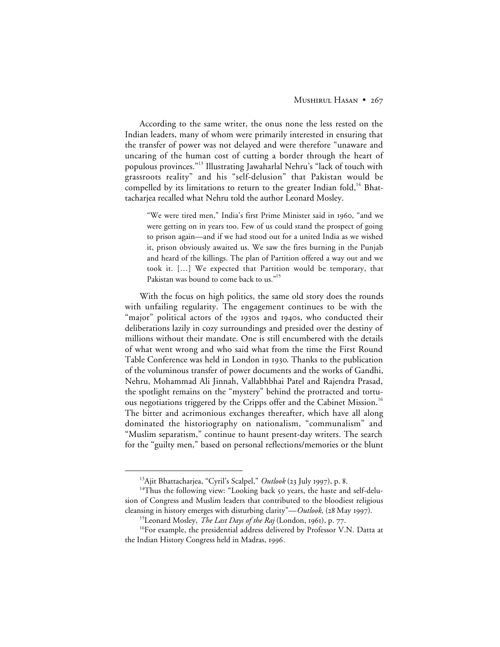# MUSHIRUL HASAN • 267

According to the same writer, the onus none the less rested on the Indian leaders, many of whom were primarily interested in ensuring that the transfer of power was not delayed and were therefore "unaware and uncaring of the human cost of cutting a border through the heart of populous provinces."13 Illustrating Jawaharlal Nehru's "lack of touch with grassroots reality" and his "self-delusion" that Pakistan would be compelled by its limitations to return to the greater Indian fold,<sup>14</sup> Bhattacharjea recalled what Nehru told the author Leonard Mosley.

"We were tired men," India's first Prime Minister said in 1960, "and we were getting on in years too. Few of us could stand the prospect of going to prison again—and if we had stood out for a united India as we wished it, prison obviously awaited us. We saw the fires burning in the Punjab and heard of the killings. The plan of Partition offered a way out and we took it. […] We expected that Partition would be temporary, that Pakistan was bound to come back to us."<sup>15</sup>

With the focus on high politics, the same old story does the rounds with unfailing regularity. The engagement continues to be with the "major" political actors of the 1930s and 1940s, who conducted their deliberations lazily in cozy surroundings and presided over the destiny of millions without their mandate. One is still encumbered with the details of what went wrong and who said what from the time the First Round Table Conference was held in London in 1930. Thanks to the publication of the voluminous transfer of power documents and the works of Gandhi, Nehru, Mohammad Ali Jinnah, Vallabhbhai Patel and Rajendra Prasad, the spotlight remains on the "mystery" behind the protracted and tortuous negotiations triggered by the Cripps offer and the Cabinet Mission.<sup>16</sup> The bitter and acrimonious exchanges thereafter, which have all along dominated the historiography on nationalism, "communalism" and "Muslim separatism," continue to haunt present-day writers. The search for the "guilty men," based on personal reflections/memories or the blunt

<sup>&</sup>lt;sup>13</sup>Ajit Bhattacharjea, "Cyril's Scalpel," Outlook (23 July 1997), p. 8.

<sup>&</sup>lt;sup>14</sup>Thus the following view: "Looking back 50 years, the haste and self-delusion of Congress and Muslim leaders that contributed to the bloodiest religious cleansing in history emerges with disturbing clarity"—*Outlook*, (28 May 1997).

<sup>&</sup>lt;sup>15</sup>Leonard Mosley, *The Last Days of the Raj* (London, 1961), p. 77.

<sup>&</sup>lt;sup>16</sup>For example, the presidential address delivered by Professor V.N. Datta at the Indian History Congress held in Madras, 1996.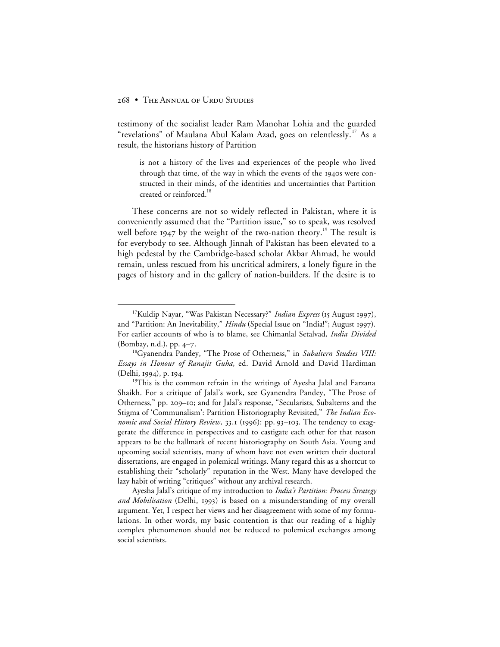testimony of the socialist leader Ram Manohar Lohia and the guarded "revelations" of Maulana Abul Kalam Azad, goes on relentlessly.<sup>17</sup> As a result, the historians history of Partition

is not a history of the lives and experiences of the people who lived through that time, of the way in which the events of the 1940s were constructed in their minds, of the identities and uncertainties that Partition created or reinforced.<sup>18</sup>

These concerns are not so widely reflected in Pakistan, where it is conveniently assumed that the "Partition issue," so to speak, was resolved well before  $1947$  by the weight of the two-nation theory.<sup>19</sup> The result is for everybody to see. Although Jinnah of Pakistan has been elevated to a high pedestal by the Cambridge-based scholar Akbar Ahmad, he would remain, unless rescued from his uncritical admirers, a lonely figure in the pages of history and in the gallery of nation-builders. If the desire is to

Ayesha Jalal's critique of my introduction to *India's Partition: Process Strategy and Mobilisation* (Delhi, 1993) is based on a misunderstanding of my overall argument. Yet, I respect her views and her disagreement with some of my formulations. In other words, my basic contention is that our reading of a highly complex phenomenon should not be reduced to polemical exchanges among social scientists.

<sup>&</sup>lt;sup>17</sup>Kuldip Nayar, "Was Pakistan Necessary?" *Indian Express* (15 August 1997), and "Partition: An Inevitability," *Hindu* (Special Issue on "India!"; August 1997). For earlier accounts of who is to blame, see Chimanlal Setalvad, *India Divided* (Bombay, n.d.), pp.  $4-7$ .

<sup>18</sup>Gyanendra Pandey, "The Prose of Otherness," in *Subaltern Studies VIII: Essays in Honour of Ranajit Guha*, ed. David Arnold and David Hardiman (Delhi, 1994), p. 194.

<sup>&</sup>lt;sup>19</sup>This is the common refrain in the writings of Ayesha Jalal and Farzana Shaikh. For a critique of Jalal's work, see Gyanendra Pandey, "The Prose of Otherness," pp. 209–10; and for Jalal's response, "Secularists, Subalterns and the Stigma of 'Communalism': Partition Historiography Revisited," *The Indian Economic and Social History Review*, 33.1 (1996): pp. 93-103. The tendency to exaggerate the difference in perspectives and to castigate each other for that reason appears to be the hallmark of recent historiography on South Asia. Young and upcoming social scientists, many of whom have not even written their doctoral dissertations, are engaged in polemical writings. Many regard this as a shortcut to establishing their "scholarly" reputation in the West. Many have developed the lazy habit of writing "critiques" without any archival research.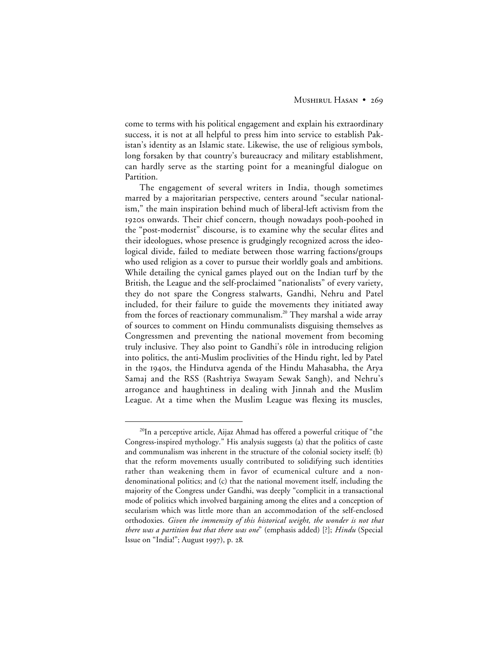come to terms with his political engagement and explain his extraordinary success, it is not at all helpful to press him into service to establish Pakistan's identity as an Islamic state. Likewise, the use of religious symbols, long forsaken by that country's bureaucracy and military establishment, can hardly serve as the starting point for a meaningful dialogue on Partition.

The engagement of several writers in India, though sometimes marred by a majoritarian perspective, centers around "secular nationalism," the main inspiration behind much of liberal-left activism from the 1920s onwards. Their chief concern, though nowadays pooh-poohed in the "post-modernist" discourse, is to examine why the secular élites and their ideologues, whose presence is grudgingly recognized across the ideological divide, failed to mediate between those warring factions/groups who used religion as a cover to pursue their worldly goals and ambitions. While detailing the cynical games played out on the Indian turf by the British, the League and the self-proclaimed "nationalists" of every variety, they do not spare the Congress stalwarts, Gandhi, Nehru and Patel included, for their failure to guide the movements they initiated away from the forces of reactionary communalism.<sup>20</sup> They marshal a wide array of sources to comment on Hindu communalists disguising themselves as Congressmen and preventing the national movement from becoming truly inclusive. They also point to Gandhi's rôle in introducing religion into politics, the anti-Muslim proclivities of the Hindu right, led by Patel in the 1940s, the Hindutva agenda of the Hindu Mahasabha, the Arya Samaj and the RSS (Rashtriya Swayam Sewak Sangh), and Nehru's arrogance and haughtiness in dealing with Jinnah and the Muslim League. At a time when the Muslim League was flexing its muscles,

 $^{20}$ In a perceptive article, Aijaz Ahmad has offered a powerful critique of "the Congress-inspired mythology." His analysis suggests (a) that the politics of caste and communalism was inherent in the structure of the colonial society itself; (b) that the reform movements usually contributed to solidifying such identities rather than weakening them in favor of ecumenical culture and a nondenominational politics; and (c) that the national movement itself, including the majority of the Congress under Gandhi, was deeply "complicit in a transactional mode of politics which involved bargaining among the elites and a conception of secularism which was little more than an accommodation of the self-enclosed orthodoxies. *Given the immensity of this historical weight, the wonder is not that there was a partition but that there was one*" (emphasis added) [?]; *Hindu* (Special Issue on "India!"; August 1997), p. 28.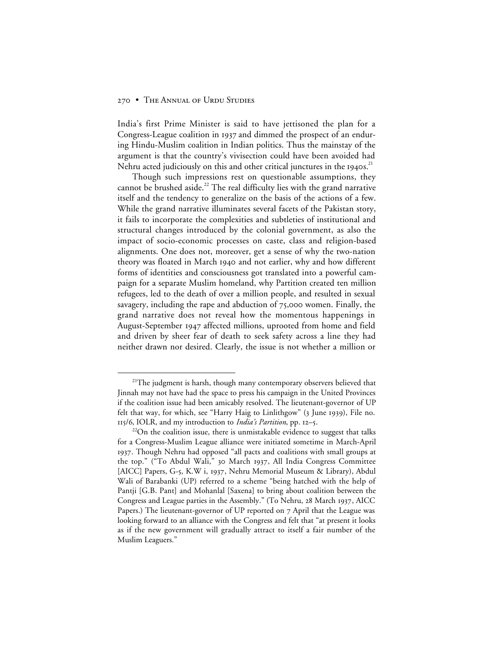India's first Prime Minister is said to have jettisoned the plan for a Congress-League coalition in 1937 and dimmed the prospect of an enduring Hindu-Muslim coalition in Indian politics. Thus the mainstay of the argument is that the country's vivisection could have been avoided had Nehru acted judiciously on this and other critical junctures in the 1940s.<sup>21</sup>

Though such impressions rest on questionable assumptions, they cannot be brushed aside.<sup>22</sup> The real difficulty lies with the grand narrative itself and the tendency to generalize on the basis of the actions of a few. While the grand narrative illuminates several facets of the Pakistan story, it fails to incorporate the complexities and subtleties of institutional and structural changes introduced by the colonial government, as also the impact of socio-economic processes on caste, class and religion-based alignments. One does not, moreover, get a sense of why the two-nation theory was floated in March 1940 and not earlier, why and how different forms of identities and consciousness got translated into a powerful campaign for a separate Muslim homeland, why Partition created ten million refugees, led to the death of over a million people, and resulted in sexual savagery, including the rape and abduction of  $75,000$  women. Finally, the grand narrative does not reveal how the momentous happenings in August-September 1947 affected millions, uprooted from home and field and driven by sheer fear of death to seek safety across a line they had neither drawn nor desired. Clearly, the issue is not whether a million or

 $21$ <sup>21</sup>The judgment is harsh, though many contemporary observers believed that Jinnah may not have had the space to press his campaign in the United Provinces if the coalition issue had been amicably resolved. The lieutenant-governor of UP felt that way, for which, see "Harry Haig to Linlithgow" (3 June 1939), File no. 115/6, IOLR, and my introduction to *India's Partition*, pp. 12-5.

 $22$ On the coalition issue, there is unmistakable evidence to suggest that talks for a Congress-Muslim League alliance were initiated sometime in March-April . Though Nehru had opposed "all pacts and coalitions with small groups at the top." ("To Abdul Wali," 30 March 1937, All India Congress Committee [AICC] Papers, G-5, K.W i, 1937, Nehru Memorial Museum & Library), Abdul Wali of Barabanki (UP) referred to a scheme "being hatched with the help of Pantji [G.B. Pant] and Mohanlal [Saxena] to bring about coalition between the Congress and League parties in the Assembly." (To Nehru, 28 March 1937, AICC Papers.) The lieutenant-governor of UP reported on 7 April that the League was looking forward to an alliance with the Congress and felt that "at present it looks as if the new government will gradually attract to itself a fair number of the Muslim Leaguers."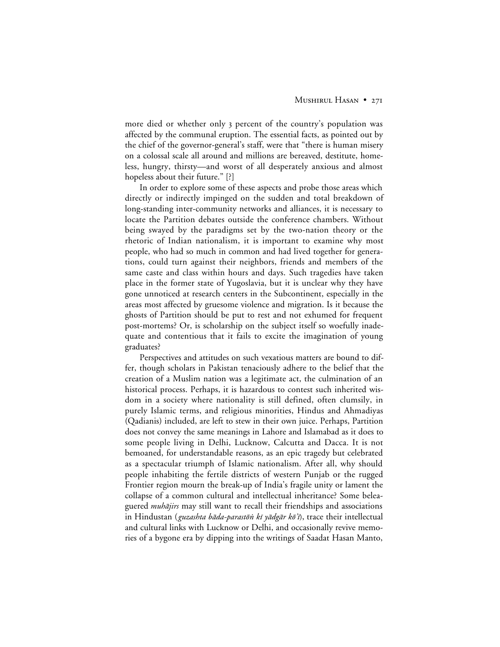more died or whether only 3 percent of the country's population was affected by the communal eruption. The essential facts, as pointed out by the chief of the governor-general's staff, were that "there is human misery on a colossal scale all around and millions are bereaved, destitute, homeless, hungry, thirsty—and worst of all desperately anxious and almost hopeless about their future." [?]

In order to explore some of these aspects and probe those areas which directly or indirectly impinged on the sudden and total breakdown of long-standing inter-community networks and alliances, it is necessary to locate the Partition debates outside the conference chambers. Without being swayed by the paradigms set by the two-nation theory or the rhetoric of Indian nationalism, it is important to examine why most people, who had so much in common and had lived together for generations, could turn against their neighbors, friends and members of the same caste and class within hours and days. Such tragedies have taken place in the former state of Yugoslavia, but it is unclear why they have gone unnoticed at research centers in the Subcontinent, especially in the areas most affected by gruesome violence and migration. Is it because the ghosts of Partition should be put to rest and not exhumed for frequent post-mortems? Or, is scholarship on the subject itself so woefully inadequate and contentious that it fails to excite the imagination of young graduates?

Perspectives and attitudes on such vexatious matters are bound to differ, though scholars in Pakistan tenaciously adhere to the belief that the creation of a Muslim nation was a legitimate act, the culmination of an historical process. Perhaps, it is hazardous to contest such inherited wisdom in a society where nationality is still defined, often clumsily, in purely Islamic terms, and religious minorities, Hindus and Ahmadiyas (Qadianis) included, are left to stew in their own juice. Perhaps, Partition does not convey the same meanings in Lahore and Islamabad as it does to some people living in Delhi, Lucknow, Calcutta and Dacca. It is not bemoaned, for understandable reasons, as an epic tragedy but celebrated as a spectacular triumph of Islamic nationalism. After all, why should people inhabiting the fertile districts of western Punjab or the rugged Frontier region mourn the break-up of India's fragile unity or lament the collapse of a common cultural and intellectual inheritance? Some beleaguered *muhājirs* may still want to recall their friendships and associations in Hindustan (*guzashta bāda-parastōṅ kī yādgār kōʾi*), trace their intellectual and cultural links with Lucknow or Delhi, and occasionally revive memories of a bygone era by dipping into the writings of Saadat Hasan Manto,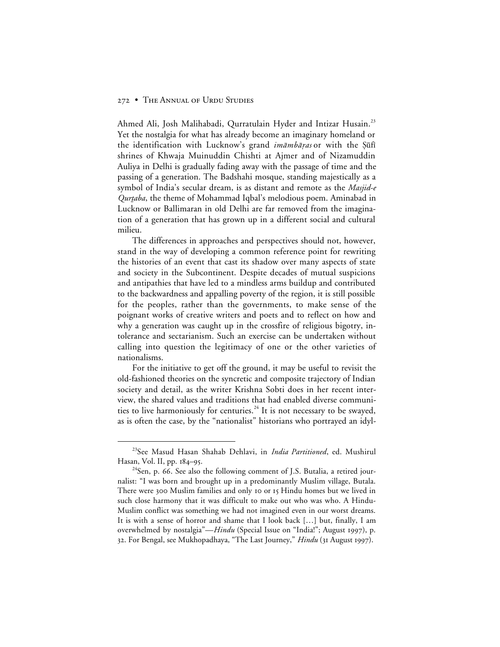Ahmed Ali, Josh Malihabadi, Qurratulain Hyder and Intizar Husain.<sup>23</sup> Yet the nostalgia for what has already become an imaginary homeland or the identification with Lucknow's grand *imāmbāras* or with the Şūfī shrines of Khwaja Muinuddin Chishti at Ajmer and of Nizamuddin Auliya in Delhi is gradually fading away with the passage of time and the passing of a generation. The Badshahi mosque, standing majestically as a symbol of India's secular dream, is as distant and remote as the Masjid-e Qurtaba, the theme of Mohammad Iqbal's melodious poem. Aminabad in Lucknow or Ballimaran in old Delhi are far removed from the imagination of a generation that has grown up in a different social and cultural milieu.

The differences in approaches and perspectives should not, however, stand in the way of developing a common reference point for rewriting the histories of an event that cast its shadow over many aspects of state and society in the Subcontinent. Despite decades of mutual suspicions and antipathies that have led to a mindless arms buildup and contributed to the backwardness and appalling poverty of the region, it is still possible for the peoples, rather than the governments, to make sense of the poignant works of creative writers and poets and to reflect on how and why a generation was caught up in the crossfire of religious bigotry, intolerance and sectarianism. Such an exercise can be undertaken without calling into question the legitimacy of one or the other varieties of nationalisms.

For the initiative to get off the ground, it may be useful to revisit the old-fashioned theories on the syncretic and composite trajectory of Indian society and detail, as the writer Krishna Sobti does in her recent interview, the shared values and traditions that had enabled diverse communities to live harmoniously for centuries.<sup>24</sup> It is not necessary to be swayed, as is often the case, by the "nationalist" historians who portrayed an idyl-

 <sup>23</sup>See Masud Hasan Shahab Dehlavi, in *India Partitioned*, ed. Mushirul Hasan, Vol. II, pp.  $184-95$ .

 $24$ Sen, p. 66. See also the following comment of J.S. Butalia, a retired journalist: "I was born and brought up in a predominantly Muslim village, Butala. There were 300 Muslim families and only 10 or 15 Hindu homes but we lived in such close harmony that it was difficult to make out who was who. A Hindu-Muslim conflict was something we had not imagined even in our worst dreams. It is with a sense of horror and shame that I look back […] but, finally, I am overwhelmed by nostalgia"—*Hindu* (Special Issue on "India!"; August 1997), p. 32. For Bengal, see Mukhopadhaya, "The Last Journey," *Hindu* (31 August 1997).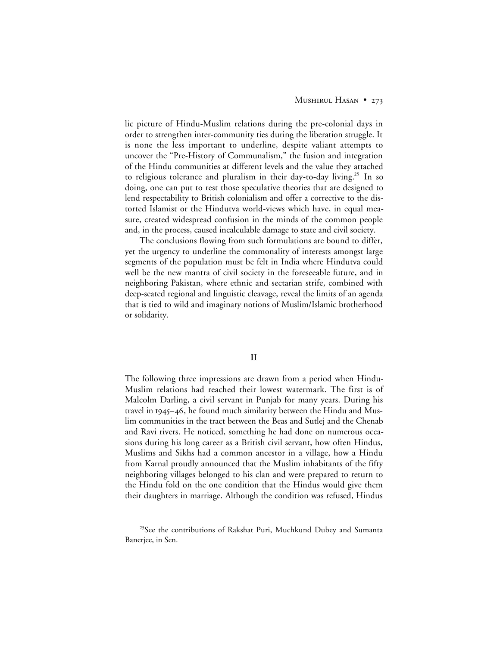## MUSHIRUL HASAN • 273

lic picture of Hindu-Muslim relations during the pre-colonial days in order to strengthen inter-community ties during the liberation struggle. It is none the less important to underline, despite valiant attempts to uncover the "Pre-History of Communalism," the fusion and integration of the Hindu communities at different levels and the value they attached to religious tolerance and pluralism in their day-to-day living.<sup>25</sup> In so doing, one can put to rest those speculative theories that are designed to lend respectability to British colonialism and offer a corrective to the distorted Islamist or the Hindutva world-views which have, in equal measure, created widespread confusion in the minds of the common people and, in the process, caused incalculable damage to state and civil society.

The conclusions flowing from such formulations are bound to differ, yet the urgency to underline the commonality of interests amongst large segments of the population must be felt in India where Hindutva could well be the new mantra of civil society in the foreseeable future, and in neighboring Pakistan, where ethnic and sectarian strife, combined with deep-seated regional and linguistic cleavage, reveal the limits of an agenda that is tied to wild and imaginary notions of Muslim/Islamic brotherhood or solidarity.

#### **II**

The following three impressions are drawn from a period when Hindu-Muslim relations had reached their lowest watermark. The first is of Malcolm Darling, a civil servant in Punjab for many years. During his travel in 1945–46, he found much similarity between the Hindu and Muslim communities in the tract between the Beas and Sutlej and the Chenab and Ravi rivers. He noticed, something he had done on numerous occasions during his long career as a British civil servant, how often Hindus, Muslims and Sikhs had a common ancestor in a village, how a Hindu from Karnal proudly announced that the Muslim inhabitants of the fifty neighboring villages belonged to his clan and were prepared to return to the Hindu fold on the one condition that the Hindus would give them their daughters in marriage. Although the condition was refused, Hindus

<sup>&</sup>lt;sup>25</sup>See the contributions of Rakshat Puri, Muchkund Dubey and Sumanta Banerjee, in Sen.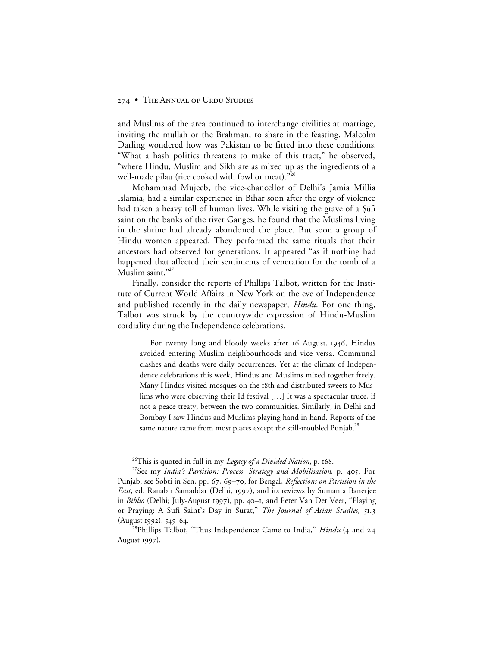and Muslims of the area continued to interchange civilities at marriage, inviting the mullah or the Brahman, to share in the feasting. Malcolm Darling wondered how was Pakistan to be fitted into these conditions. "What a hash politics threatens to make of this tract," he observed, "where Hindu, Muslim and Sikh are as mixed up as the ingredients of a well-made pilau (rice cooked with fowl or meat)."<sup>26</sup>

Mohammad Mujeeb, the vice-chancellor of Delhi's Jamia Millia Islamia, had a similar experience in Bihar soon after the orgy of violence had taken a heavy toll of human lives. While visiting the grave of a §ūfī saint on the banks of the river Ganges, he found that the Muslims living in the shrine had already abandoned the place. But soon a group of Hindu women appeared. They performed the same rituals that their ancestors had observed for generations. It appeared "as if nothing had happened that affected their sentiments of veneration for the tomb of a Muslim saint."<sup>27</sup>

Finally, consider the reports of Phillips Talbot, written for the Institute of Current World Affairs in New York on the eve of Independence and published recently in the daily newspaper, *Hindu*. For one thing, Talbot was struck by the countrywide expression of Hindu-Muslim cordiality during the Independence celebrations.

For twenty long and bloody weeks after 16 August, 1946, Hindus avoided entering Muslim neighbourhoods and vice versa. Communal clashes and deaths were daily occurrences. Yet at the climax of Independence celebrations this week, Hindus and Muslims mixed together freely. Many Hindus visited mosques on the 18th and distributed sweets to Muslims who were observing their Id festival […] It was a spectacular truce, if not a peace treaty, between the two communities. Similarly, in Delhi and Bombay I saw Hindus and Muslims playing hand in hand. Reports of the same nature came from most places except the still-troubled Punjab.<sup>28</sup>

<sup>&</sup>lt;sup>26</sup>This is quoted in full in my *Legacy of a Divided Nation*, p. 168.

<sup>&</sup>lt;sup>27</sup>See my *India's Partition: Process, Strategy and Mobilisation*, p. 405. For Punjab, see Sobti in Sen, pp. 67, 69-70, for Bengal, *Reflections on Partition in the East*, ed. Ranabir Samaddar (Delhi, 1997), and its reviews by Sumanta Banerjee in *Biblio* (Delhi; July-August 1997), pp. 40-1, and Peter Van Der Veer, "Playing or Praying: A Sufi Saint's Day in Surat," *The Journal of Asian Studies*, 51.3 (August 1992): 545-64.

<sup>&</sup>lt;sup>28</sup>Phillips Talbot, "Thus Independence Came to India," *Hindu* (4 and 24 August 1997).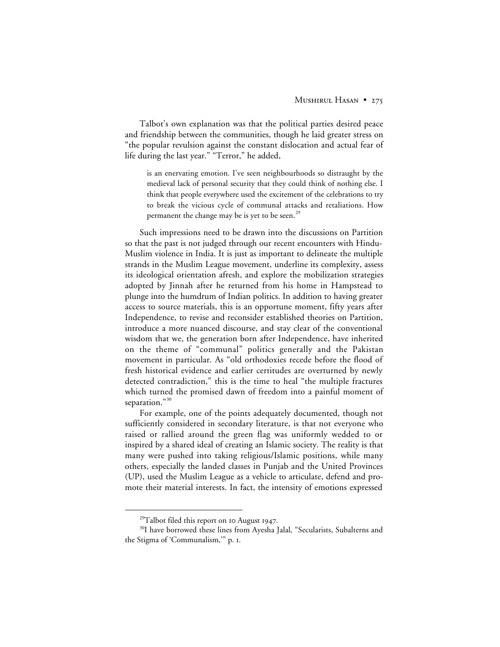Talbot's own explanation was that the political parties desired peace and friendship between the communities, though he laid greater stress on "the popular revulsion against the constant dislocation and actual fear of life during the last year." "Terror," he added,

is an enervating emotion. I've seen neighbourhoods so distraught by the medieval lack of personal security that they could think of nothing else. I think that people everywhere used the excitement of the celebrations to try to break the vicious cycle of communal attacks and retaliations. How permanent the change may be is yet to be seen.<sup>29</sup>

Such impressions need to be drawn into the discussions on Partition so that the past is not judged through our recent encounters with Hindu-Muslim violence in India. It is just as important to delineate the multiple strands in the Muslim League movement, underline its complexity, assess its ideological orientation afresh, and explore the mobilization strategies adopted by Jinnah after he returned from his home in Hampstead to plunge into the humdrum of Indian politics. In addition to having greater access to source materials, this is an opportune moment, fifty years after Independence, to revise and reconsider established theories on Partition, introduce a more nuanced discourse, and stay clear of the conventional wisdom that we, the generation born after Independence, have inherited on the theme of "communal" politics generally and the Pakistan movement in particular. As "old orthodoxies recede before the flood of fresh historical evidence and earlier certitudes are overturned by newly detected contradiction," this is the time to heal "the multiple fractures which turned the promised dawn of freedom into a painful moment of separation."<sup>30</sup>

For example, one of the points adequately documented, though not sufficiently considered in secondary literature, is that not everyone who raised or rallied around the green flag was uniformly wedded to or inspired by a shared ideal of creating an Islamic society. The reality is that many were pushed into taking religious/Islamic positions, while many others, especially the landed classes in Punjab and the United Provinces (UP), used the Muslim League as a vehicle to articulate, defend and promote their material interests. In fact, the intensity of emotions expressed

 $^{29}$ Talbot filed this report on 10 August 1947.

<sup>&</sup>lt;sup>30</sup>I have borrowed these lines from Ayesha Jalal, "Secularists, Subalterns and the Stigma of 'Communalism,'" p. .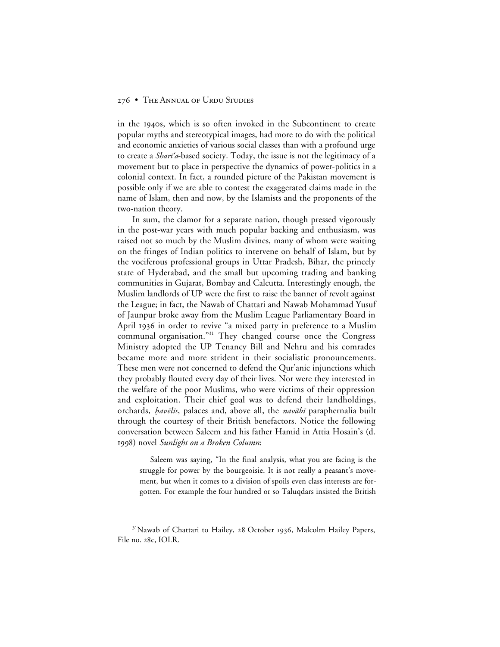in the 1940s, which is so often invoked in the Subcontinent to create popular myths and stereotypical images, had more to do with the political and economic anxieties of various social classes than with a profound urge to create a *Shart'a*-based society. Today, the issue is not the legitimacy of a movement but to place in perspective the dynamics of power-politics in a colonial context. In fact, a rounded picture of the Pakistan movement is possible only if we are able to contest the exaggerated claims made in the name of Islam, then and now, by the Islamists and the proponents of the two-nation theory.

In sum, the clamor for a separate nation, though pressed vigorously in the post-war years with much popular backing and enthusiasm, was raised not so much by the Muslim divines, many of whom were waiting on the fringes of Indian politics to intervene on behalf of Islam, but by the vociferous professional groups in Uttar Pradesh, Bihar, the princely state of Hyderabad, and the small but upcoming trading and banking communities in Gujarat, Bombay and Calcutta. Interestingly enough, the Muslim landlords of UP were the first to raise the banner of revolt against the League; in fact, the Nawab of Chattari and Nawab Mohammad Yusuf of Jaunpur broke away from the Muslim League Parliamentary Board in April 1936 in order to revive "a mixed party in preference to a Muslim communal organisation."<sup>31</sup> They changed course once the Congress Ministry adopted the UP Tenancy Bill and Nehru and his comrades became more and more strident in their socialistic pronouncements. These men were not concerned to defend the Qur'anic injunctions which they probably flouted every day of their lives. Nor were they interested in the welfare of the poor Muslims, who were victims of their oppression and exploitation. Their chief goal was to defend their landholdings, orchards, *havēlīs*, palaces and, above all, the *navābī* paraphernalia built through the courtesy of their British benefactors. Notice the following conversation between Saleem and his father Hamid in Attia Hosain's (d. ) novel *Sunlight on a Broken Column*:

Saleem was saying, "In the final analysis, what you are facing is the struggle for power by the bourgeoisie. It is not really a peasant's movement, but when it comes to a division of spoils even class interests are forgotten. For example the four hundred or so Taluqdars insisted the British

<sup>&</sup>lt;sup>31</sup>Nawab of Chattari to Hailey, 28 October 1936, Malcolm Hailey Papers, File no. 28c, IOLR.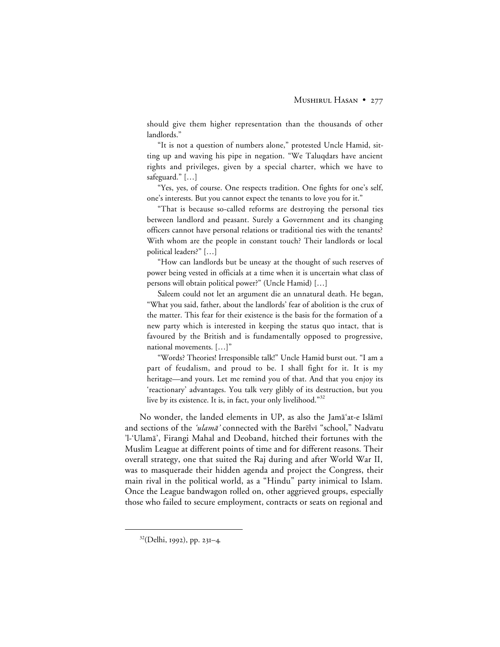should give them higher representation than the thousands of other landlords."

"It is not a question of numbers alone," protested Uncle Hamid, sitting up and waving his pipe in negation. "We Taluqdars have ancient rights and privileges, given by a special charter, which we have to safeguard." […]

"Yes, yes, of course. One respects tradition. One fights for one's self, one's interests. But you cannot expect the tenants to love you for it."

"That is because so-called reforms are destroying the personal ties between landlord and peasant. Surely a Government and its changing officers cannot have personal relations or traditional ties with the tenants? With whom are the people in constant touch? Their landlords or local political leaders?" […]

"How can landlords but be uneasy at the thought of such reserves of power being vested in officials at a time when it is uncertain what class of persons will obtain political power?" (Uncle Hamid) […]

Saleem could not let an argument die an unnatural death. He began, "What you said, father, about the landlords' fear of abolition is the crux of the matter. This fear for their existence is the basis for the formation of a new party which is interested in keeping the status quo intact, that is favoured by the British and is fundamentally opposed to progressive, national movements. […]"

"Words? Theories! Irresponsible talk!" Uncle Hamid burst out. "I am a part of feudalism, and proud to be. I shall fight for it. It is my heritage—and yours. Let me remind you of that. And that you enjoy its 'reactionary' advantages. You talk very glibly of its destruction, but you live by its existence. It is, in fact, your only livelihood." $32$ 

No wonder, the landed elements in UP, as also the Jama'at-e Islami and sections of the 'ulamā' connected with the Barēlvī "school," Nadvatu 'l-'Ulam≥', Firangi Mahal and Deoband, hitched their fortunes with the Muslim League at different points of time and for different reasons. Their overall strategy, one that suited the Raj during and after World War II, was to masquerade their hidden agenda and project the Congress, their main rival in the political world, as a "Hindu" party inimical to Islam. Once the League bandwagon rolled on, other aggrieved groups, especially those who failed to secure employment, contracts or seats on regional and

<sup>32(</sup>Delhi, 1992), pp. 231-4.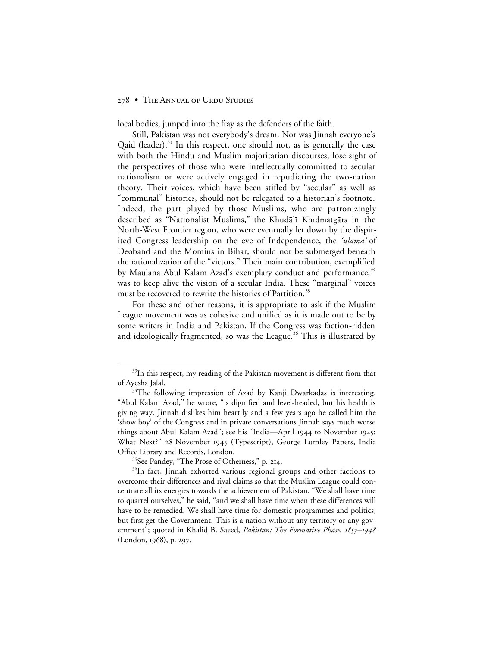local bodies, jumped into the fray as the defenders of the faith.

Still, Pakistan was not everybody's dream. Nor was Jinnah everyone's Qaid (leader).<sup>33</sup> In this respect, one should not, as is generally the case with both the Hindu and Muslim majoritarian discourses, lose sight of the perspectives of those who were intellectually committed to secular nationalism or were actively engaged in repudiating the two-nation theory. Their voices, which have been stifled by "secular" as well as "communal" histories, should not be relegated to a historian's footnote. Indeed, the part played by those Muslims, who are patronizingly described as "Nationalist Muslims," the Khudā'ī Khidmatgārs in the North-West Frontier region, who were eventually let down by the dispirited Congress leadership on the eve of Independence, the *'ulama'* of Deoband and the Momins in Bihar, should not be submerged beneath the rationalization of the "victors." Their main contribution, exemplified by Maulana Abul Kalam Azad's exemplary conduct and performance,<sup>34</sup> was to keep alive the vision of a secular India. These "marginal" voices must be recovered to rewrite the histories of Partition.<sup>35</sup>

For these and other reasons, it is appropriate to ask if the Muslim League movement was as cohesive and unified as it is made out to be by some writers in India and Pakistan. If the Congress was faction-ridden and ideologically fragmented, so was the League.<sup>36</sup> This is illustrated by

 $33$ In this respect, my reading of the Pakistan movement is different from that of Ayesha Jalal.

 $34$ The following impression of Azad by Kanji Dwarkadas is interesting. "Abul Kalam Azad," he wrote, "is dignified and level-headed, but his health is giving way. Jinnah dislikes him heartily and a few years ago he called him the 'show boy' of the Congress and in private conversations Jinnah says much worse things about Abul Kalam Azad"; see his "India—April 1944 to November 1945: What Next?" 28 November 1945 (Typescript), George Lumley Papers, India Office Library and Records, London.

<sup>&</sup>lt;sup>35</sup>See Pandey, "The Prose of Otherness," p. 214.

<sup>&</sup>lt;sup>36</sup>In fact, Jinnah exhorted various regional groups and other factions to overcome their differences and rival claims so that the Muslim League could concentrate all its energies towards the achievement of Pakistan. "We shall have time to quarrel ourselves," he said, "and we shall have time when these differences will have to be remedied. We shall have time for domestic programmes and politics, but first get the Government. This is a nation without any territory or any government"; quoted in Khalid B. Saeed, *Pakistan: The Formative Phase*, *1857–1948* (London, 1968), p. 297.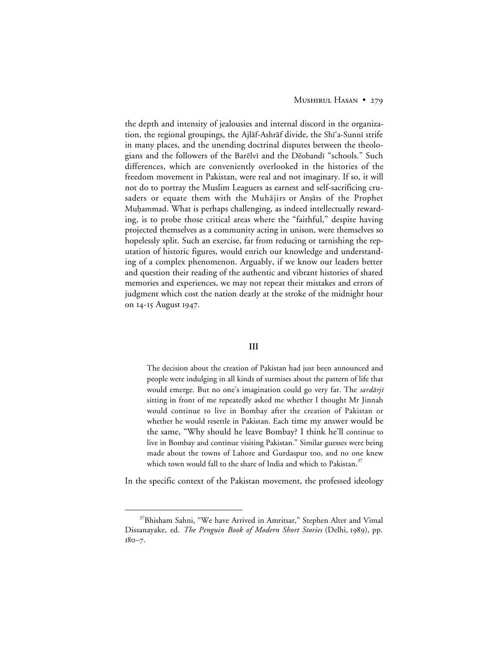## MUSHIRUL HASAN • 279

the depth and intensity of jealousies and internal discord in the organization, the regional groupings, the Ajlāf-Ashrāf divide, the Shīʿa-Sunnī strife in many places, and the unending doctrinal disputes between the theologians and the followers of the Barēlvī and the Dēobandī "schools." Such differences, which are conveniently overlooked in the histories of the freedom movement in Pakistan, were real and not imaginary. If so, it will not do to portray the Muslim Leaguers as earnest and self-sacrificing crusaders or equate them with the Muhajirs or Ansars of the Prophet Muhammad. What is perhaps challenging, as indeed intellectually rewarding, is to probe those critical areas where the "faithful," despite having projected themselves as a community acting in unison, were themselves so hopelessly split. Such an exercise, far from reducing or tarnishing the reputation of historic figures, would enrich our knowledge and understanding of a complex phenomenon. Arguably, if we know our leaders better and question their reading of the authentic and vibrant histories of shared memories and experiences, we may not repeat their mistakes and errors of judgment which cost the nation dearly at the stroke of the midnight hour on 14-15 August 1947.

# **III**

The decision about the creation of Pakistan had just been announced and people were indulging in all kinds of surmises about the pattern of life that would emerge. But no one's imagination could go very far. The sardarji sitting in front of me repeatedly asked me whether I thought Mr Jinnah would continue to live in Bombay after the creation of Pakistan or whether he would resettle in Pakistan. Each time my answer would be the same, "Why should he leave Bombay? I think he'll continue to live in Bombay and continue visiting Pakistan." Similar guesses were being made about the towns of Lahore and Gurdaspur too, and no one knew which town would fall to the share of India and which to Pakistan.<sup>37</sup>

In the specific context of the Pakistan movement, the professed ideology

<sup>&</sup>lt;sup>37</sup>Bhisham Sahni, "We have Arrived in Amritsar," Stephen Alter and Vimal Dissanayake, ed. *The Penguin Book of Modern Short Stories* (Delhi, 1989), pp.  $180 - 7.$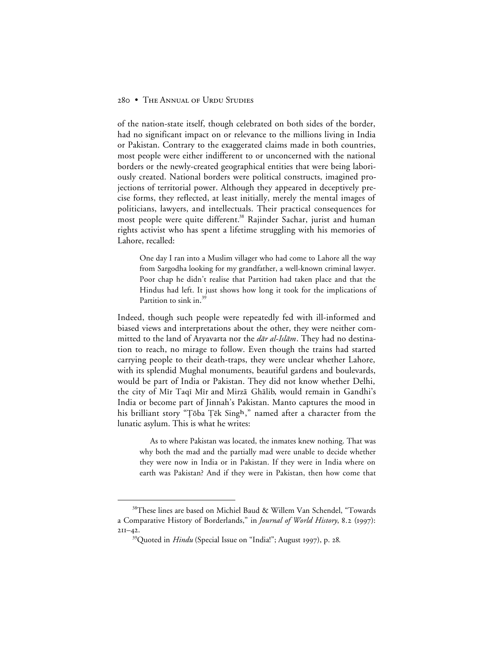of the nation-state itself, though celebrated on both sides of the border, had no significant impact on or relevance to the millions living in India or Pakistan. Contrary to the exaggerated claims made in both countries, most people were either indifferent to or unconcerned with the national borders or the newly-created geographical entities that were being laboriously created. National borders were political constructs, imagined projections of territorial power. Although they appeared in deceptively precise forms, they reflected, at least initially, merely the mental images of politicians, lawyers, and intellectuals. Their practical consequences for most people were quite different.<sup>38</sup> Rajinder Sachar, jurist and human rights activist who has spent a lifetime struggling with his memories of Lahore, recalled:

One day I ran into a Muslim villager who had come to Lahore all the way from Sargodha looking for my grandfather, a well-known criminal lawyer. Poor chap he didn't realise that Partition had taken place and that the Hindus had left. It just shows how long it took for the implications of Partition to sink in.<sup>39</sup>

Indeed, though such people were repeatedly fed with ill-informed and biased views and interpretations about the other, they were neither committed to the land of Aryavarta nor the  $d\bar{a}r$  al-Isl $\bar{a}m$ . They had no destination to reach, no mirage to follow. Even though the trains had started carrying people to their death-traps, they were unclear whether Lahore, with its splendid Mughal monuments, beautiful gardens and boulevards, would be part of India or Pakistan. They did not know whether Delhi, the city of Mīr Taqī Mīr and Mirzā Ghālib, would remain in Gandhi's India or become part of Jinnah's Pakistan. Manto captures the mood in his brilliant story "Tōba Tēk Singh," named after a character from the lunatic asylum. This is what he writes:

As to where Pakistan was located, the inmates knew nothing. That was why both the mad and the partially mad were unable to decide whether they were now in India or in Pakistan. If they were in India where on earth was Pakistan? And if they were in Pakistan, then how come that

 <sup>38</sup>These lines are based on Michiel Baud & Willem Van Schendel, "Towards a Comparative History of Borderlands," in *Journal of World History*, 8.2 (1997):  $2II-42.$ 

<sup>&</sup>lt;sup>39</sup>Quoted in *Hindu* (Special Issue on "India!"; August 1997), p. 28.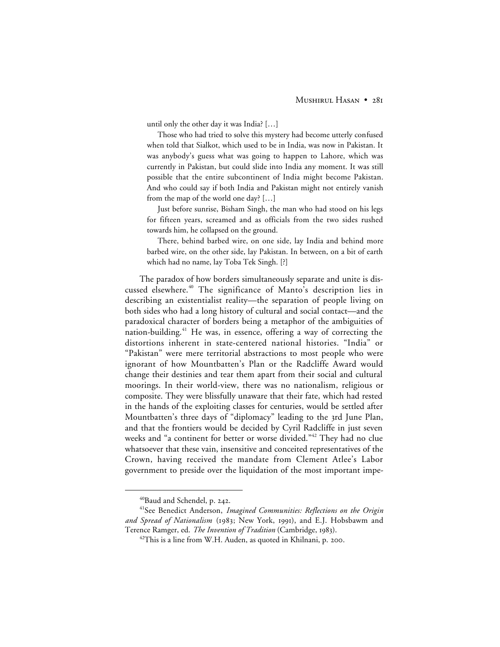until only the other day it was India? […]

Those who had tried to solve this mystery had become utterly confused when told that Sialkot, which used to be in India, was now in Pakistan. It was anybody's guess what was going to happen to Lahore, which was currently in Pakistan, but could slide into India any moment. It was still possible that the entire subcontinent of India might become Pakistan. And who could say if both India and Pakistan might not entirely vanish from the map of the world one day? […]

Just before sunrise, Bisham Singh, the man who had stood on his legs for fifteen years, screamed and as officials from the two sides rushed towards him, he collapsed on the ground.

There, behind barbed wire, on one side, lay India and behind more barbed wire, on the other side, lay Pakistan. In between, on a bit of earth which had no name, lay Toba Tek Singh. [?]

The paradox of how borders simultaneously separate and unite is discussed elsewhere.<sup>40</sup> The significance of Manto's description lies in describing an existentialist reality—the separation of people living on both sides who had a long history of cultural and social contact—and the paradoxical character of borders being a metaphor of the ambiguities of nation-building.<sup>41</sup> He was, in essence, offering a way of correcting the distortions inherent in state-centered national histories. "India" or "Pakistan" were mere territorial abstractions to most people who were ignorant of how Mountbatten's Plan or the Radcliffe Award would change their destinies and tear them apart from their social and cultural moorings. In their world-view, there was no nationalism, religious or composite. They were blissfully unaware that their fate, which had rested in the hands of the exploiting classes for centuries, would be settled after Mountbatten's three days of "diplomacy" leading to the 3rd June Plan, and that the frontiers would be decided by Cyril Radcliffe in just seven weeks and "a continent for better or worse divided."<sup>42</sup> They had no clue whatsoever that these vain, insensitive and conceited representatives of the Crown, having received the mandate from Clement Atlee's Labor government to preside over the liquidation of the most important impe-

 $40B$ aud and Schendel, p. 242.

<sup>41</sup>See Benedict Anderson, *Imagined Communities: Reflections on the Origin* and Spread of Nationalism (1983; New York, 1991), and E.J. Hobsbawm and Terence Ramger, ed. *The Invention of Tradition* (Cambridge, 1983).

 $42$ This is a line from W.H. Auden, as quoted in Khilnani, p. 200.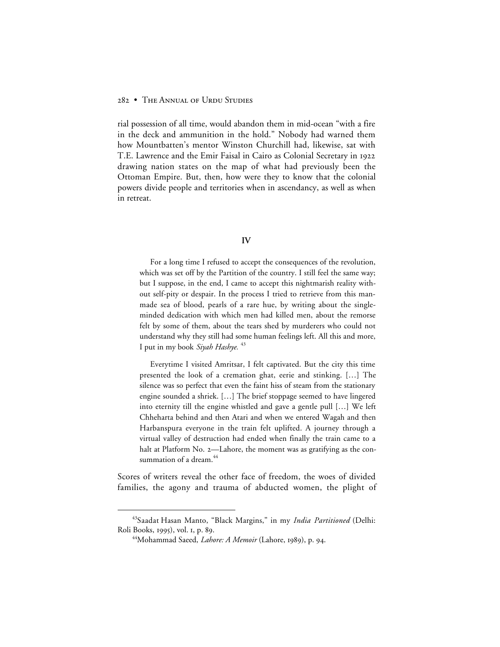rial possession of all time, would abandon them in mid-ocean "with a fire in the deck and ammunition in the hold." Nobody had warned them how Mountbatten's mentor Winston Churchill had, likewise, sat with T.E. Lawrence and the Emir Faisal in Cairo as Colonial Secretary in drawing nation states on the map of what had previously been the Ottoman Empire. But, then, how were they to know that the colonial powers divide people and territories when in ascendancy, as well as when in retreat.

## **IV**

For a long time I refused to accept the consequences of the revolution, which was set off by the Partition of the country. I still feel the same way; but I suppose, in the end, I came to accept this nightmarish reality without self-pity or despair. In the process I tried to retrieve from this manmade sea of blood, pearls of a rare hue, by writing about the singleminded dedication with which men had killed men, about the remorse felt by some of them, about the tears shed by murderers who could not understand why they still had some human feelings left. All this and more, I put in my book *Siyah Hashye.* <sup>43</sup>

Everytime I visited Amritsar, I felt captivated. But the city this time presented the look of a cremation ghat, eerie and stinking. […] The silence was so perfect that even the faint hiss of steam from the stationary engine sounded a shriek. […] The brief stoppage seemed to have lingered into eternity till the engine whistled and gave a gentle pull […] We left Chheharta behind and then Atari and when we entered Wagah and then Harbanspura everyone in the train felt uplifted. A journey through a virtual valley of destruction had ended when finally the train came to a halt at Platform No. 2-Lahore, the moment was as gratifying as the consummation of a dream.<sup>44</sup>

Scores of writers reveal the other face of freedom, the woes of divided families, the agony and trauma of abducted women, the plight of

 <sup>43</sup>Saadat Hasan Manto, "Black Margins," in my *India Partitioned* (Delhi: Roli Books, 1995), vol. 1, p. 89.

<sup>&</sup>lt;sup>44</sup>Mohammad Saeed, *Lahore: A Memoir* (Lahore, 1989), p. 94.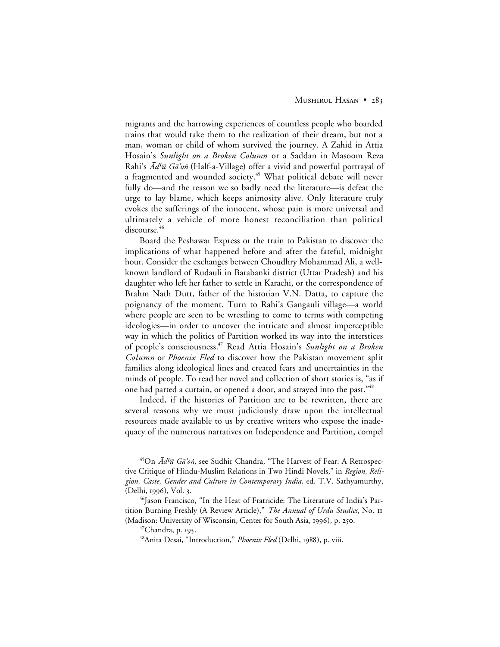migrants and the harrowing experiences of countless people who boarded trains that would take them to the realization of their dream, but not a man, woman or child of whom survived the journey. A Zahid in Attia Hosain's *Sunlight on a Broken Column* or a Saddan in Masoom Reza Rahi's  $\bar{A}$ d<sup>h</sup>ā Gā'on (Half-a-Village) offer a vivid and powerful portrayal of a fragmented and wounded society.<sup>45</sup> What political debate will never fully do—and the reason we so badly need the literature—is defeat the urge to lay blame, which keeps animosity alive. Only literature truly evokes the sufferings of the innocent, whose pain is more universal and ultimately a vehicle of more honest reconciliation than political discourse.<sup>4</sup>

Board the Peshawar Express or the train to Pakistan to discover the implications of what happened before and after the fateful, midnight hour. Consider the exchanges between Choudhry Mohammad Ali, a wellknown landlord of Rudauli in Barabanki district (Uttar Pradesh) and his daughter who left her father to settle in Karachi, or the correspondence of Brahm Nath Dutt, father of the historian V.N. Datta, to capture the poignancy of the moment. Turn to Rahi's Gangauli village—a world where people are seen to be wrestling to come to terms with competing ideologies—in order to uncover the intricate and almost imperceptible way in which the politics of Partition worked its way into the interstices of people's consciousness.47 Read Attia Hosain's *Sunlight on a Broken Column* or *Phoenix Fled* to discover how the Pakistan movement split families along ideological lines and created fears and uncertainties in the minds of people. To read her novel and collection of short stories is, "as if one had parted a curtain, or opened a door, and strayed into the past."<sup>48</sup>

Indeed, if the histories of Partition are to be rewritten, there are several reasons why we must judiciously draw upon the intellectual resources made available to us by creative writers who expose the inadequacy of the numerous narratives on Independence and Partition, compel

<sup>+45</sup>On *Ādʰā Gā'on*, see Sudhir Chandra, "The Harvest of Fear: A Retrospective Critique of Hindu-Muslim Relations in Two Hindi Novels," in *Region, Religion, Caste, Gender and Culture in Contemporary India,* ed. T.V. Sathyamurthy, (Delhi, 1996), Vol. 3.

<sup>&</sup>lt;sup>46</sup>Jason Francisco, "In the Heat of Fratricide: The Literature of India's Partition Burning Freshly (A Review Article)," *The Annual of Urdu Studies*, No. (Madison: University of Wisconsin, Center for South Asia, 1996), p. 250.

 $47$ Chandra, p. 195.

<sup>&</sup>lt;sup>48</sup>Anita Desai, "Introduction," *Phoenix Fled* (Delhi, 1988), p. viii.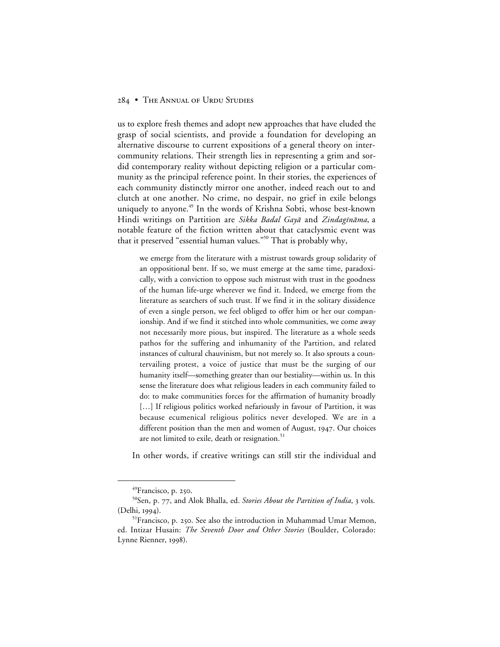us to explore fresh themes and adopt new approaches that have eluded the grasp of social scientists, and provide a foundation for developing an alternative discourse to current expositions of a general theory on intercommunity relations. Their strength lies in representing a grim and sordid contemporary reality without depicting religion or a particular community as the principal reference point. In their stories, the experiences of each community distinctly mirror one another, indeed reach out to and clutch at one another. No crime, no despair, no grief in exile belongs uniquely to anyone.<sup>49</sup> In the words of Krishna Sobti, whose best-known Hindi writings on Partition are Sikka Badal Gayā and Zindagīnāma, a notable feature of the fiction written about that cataclysmic event was that it preserved "essential human values."<sup>50</sup> That is probably why,

we emerge from the literature with a mistrust towards group solidarity of an oppositional bent. If so, we must emerge at the same time, paradoxically, with a conviction to oppose such mistrust with trust in the goodness of the human life-urge wherever we find it. Indeed, we emerge from the literature as searchers of such trust. If we find it in the solitary dissidence of even a single person, we feel obliged to offer him or her our companionship. And if we find it stitched into whole communities, we come away not necessarily more pious, but inspired. The literature as a whole seeds pathos for the suffering and inhumanity of the Partition, and related instances of cultural chauvinism, but not merely so. It also sprouts a countervailing protest, a voice of justice that must be the surging of our humanity itself—something greater than our bestiality—within us. In this sense the literature does what religious leaders in each community failed to do: to make communities forces for the affirmation of humanity broadly [...] If religious politics worked nefariously in favour of Partition, it was because ecumenical religious politics never developed. We are in a different position than the men and women of August, 1947. Our choices are not limited to exile, death or resignation.<sup>51</sup>

In other words, if creative writings can still stir the individual and

<sup>&</sup>lt;sup>49</sup>Francisco, p. 250.

<sup>&</sup>lt;sup>50</sup>Sen, p. 77, and Alok Bhalla, ed. *Stories About the Partition of India*, 3 vols. (Delhi, 1994).

 $51$ Francisco, p. 250. See also the introduction in Muhammad Umar Memon, ed. Intizar Husain: *The Seventh Door and Other Stories* (Boulder, Colorado: Lynne Rienner, 1998).